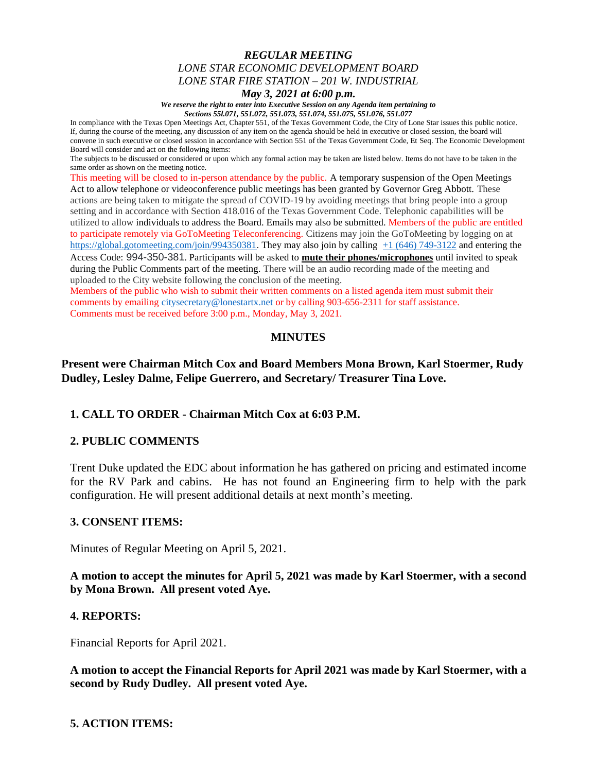## *REGULAR MEETING LONE STAR ECONOMIC DEVELOPMENT BOARD LONE STAR FIRE STATION – 201 W. INDUSTRIAL*

#### *May 3, 2021 at 6:00 p.m.*

*We reserve the right to enter into Executive Session on any Agenda item pertaining to Sections 55l.071, 551.072, 551.073, 551.074, 551.075, 551.076, 551.077*

In compliance with the Texas Open Meetings Act, Chapter 551, of the Texas Government Code, the City of Lone Star issues this public notice. If, during the course of the meeting, any discussion of any item on the agenda should be held in executive or closed session, the board will convene in such executive or closed session in accordance with Section 551 of the Texas Government Code, Et Seq. The Economic Development Board will consider and act on the following items:

The subjects to be discussed or considered or upon which any formal action may be taken are listed below. Items do not have to be taken in the same order as shown on the meeting notice.

This meeting will be closed to in-person attendance by the public. A temporary suspension of the Open Meetings Act to allow telephone or videoconference public meetings has been granted by Governor Greg Abbott. These actions are being taken to mitigate the spread of COVID-19 by avoiding meetings that bring people into a group setting and in accordance with Section 418.016 of the Texas Government Code. Telephonic capabilities will be utilized to allow individuals to address the Board. Emails may also be submitted. Members of the public are entitled to participate remotely via GoToMeeting Teleconferencing. Citizens may join the GoToMeeting by logging on at <https://global.gotomeeting.com/join/994350381>. They may also join by calling  $+1$  (646) [749-3122](tel:+16467493122,,295165757) and entering the Access Code: 994-350-381. Participants will be asked to **mute their phones/microphones** until invited to speak during the Public Comments part of the meeting. There will be an audio recording made of the meeting and uploaded to the City website following the conclusion of the meeting.

Members of the public who wish to submit their written comments on a listed agenda item must submit their comments by emailing citysecretary@lonestartx.net or by calling 903-656-2311 for staff assistance. Comments must be received before 3:00 p.m., Monday, May 3, 2021.

### **MINUTES**

## **Present were Chairman Mitch Cox and Board Members Mona Brown, Karl Stoermer, Rudy Dudley, Lesley Dalme, Felipe Guerrero, and Secretary/ Treasurer Tina Love.**

### **1. CALL TO ORDER - Chairman Mitch Cox at 6:03 P.M.**

### **2. PUBLIC COMMENTS**

Trent Duke updated the EDC about information he has gathered on pricing and estimated income for the RV Park and cabins. He has not found an Engineering firm to help with the park configuration. He will present additional details at next month's meeting.

### **3. CONSENT ITEMS:**

Minutes of Regular Meeting on April 5, 2021.

### **A motion to accept the minutes for April 5, 2021 was made by Karl Stoermer, with a second by Mona Brown. All present voted Aye.**

### **4. REPORTS:**

Financial Reports for April 2021.

**A motion to accept the Financial Reports for April 2021 was made by Karl Stoermer, with a second by Rudy Dudley. All present voted Aye.**

### **5. ACTION ITEMS:**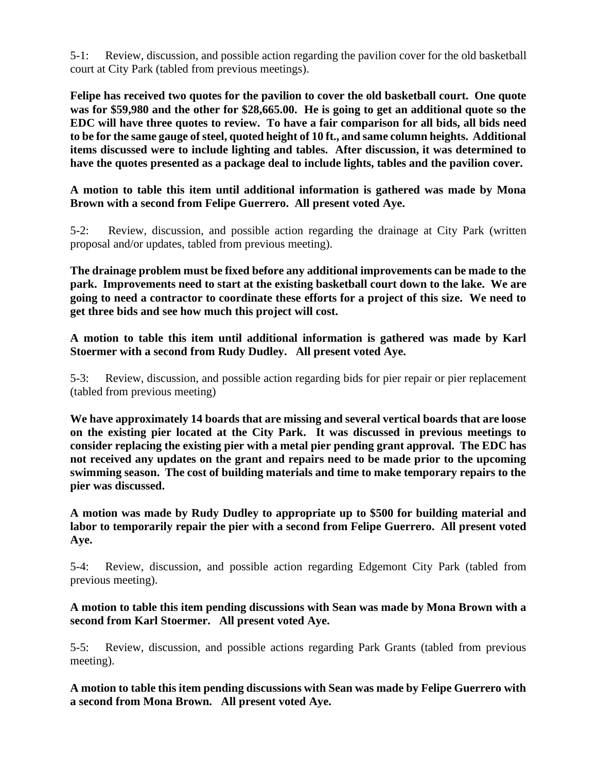5-1: Review, discussion, and possible action regarding the pavilion cover for the old basketball court at City Park (tabled from previous meetings).

**Felipe has received two quotes for the pavilion to cover the old basketball court. One quote was for \$59,980 and the other for \$28,665.00. He is going to get an additional quote so the EDC will have three quotes to review. To have a fair comparison for all bids, all bids need to be for the same gauge of steel, quoted height of 10 ft., and same column heights. Additional items discussed were to include lighting and tables. After discussion, it was determined to have the quotes presented as a package deal to include lights, tables and the pavilion cover.**

**A motion to table this item until additional information is gathered was made by Mona Brown with a second from Felipe Guerrero. All present voted Aye.**

5-2: Review, discussion, and possible action regarding the drainage at City Park (written proposal and/or updates, tabled from previous meeting).

**The drainage problem must be fixed before any additional improvements can be made to the park. Improvements need to start at the existing basketball court down to the lake. We are going to need a contractor to coordinate these efforts for a project of this size. We need to get three bids and see how much this project will cost.**

**A motion to table this item until additional information is gathered was made by Karl Stoermer with a second from Rudy Dudley. All present voted Aye.**

5-3: Review, discussion, and possible action regarding bids for pier repair or pier replacement (tabled from previous meeting)

**We have approximately 14 boards that are missing and several vertical boards that are loose on the existing pier located at the City Park. It was discussed in previous meetings to consider replacing the existing pier with a metal pier pending grant approval. The EDC has not received any updates on the grant and repairs need to be made prior to the upcoming swimming season. The cost of building materials and time to make temporary repairs to the pier was discussed.** 

**A motion was made by Rudy Dudley to appropriate up to \$500 for building material and labor to temporarily repair the pier with a second from Felipe Guerrero. All present voted Aye.**

5-4: Review, discussion, and possible action regarding Edgemont City Park (tabled from previous meeting).

**A motion to table this item pending discussions with Sean was made by Mona Brown with a second from Karl Stoermer. All present voted Aye.**

5-5: Review, discussion, and possible actions regarding Park Grants (tabled from previous meeting).

**A motion to table this item pending discussions with Sean was made by Felipe Guerrero with a second from Mona Brown. All present voted Aye.**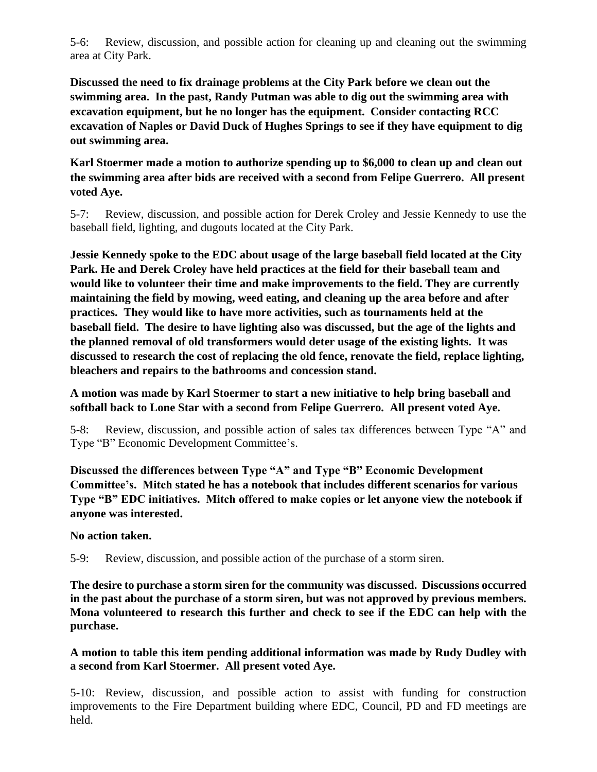5-6: Review, discussion, and possible action for cleaning up and cleaning out the swimming area at City Park.

**Discussed the need to fix drainage problems at the City Park before we clean out the swimming area. In the past, Randy Putman was able to dig out the swimming area with excavation equipment, but he no longer has the equipment. Consider contacting RCC excavation of Naples or David Duck of Hughes Springs to see if they have equipment to dig out swimming area.**

**Karl Stoermer made a motion to authorize spending up to \$6,000 to clean up and clean out the swimming area after bids are received with a second from Felipe Guerrero. All present voted Aye.**

5-7: Review, discussion, and possible action for Derek Croley and Jessie Kennedy to use the baseball field, lighting, and dugouts located at the City Park.

**Jessie Kennedy spoke to the EDC about usage of the large baseball field located at the City Park. He and Derek Croley have held practices at the field for their baseball team and would like to volunteer their time and make improvements to the field. They are currently maintaining the field by mowing, weed eating, and cleaning up the area before and after practices. They would like to have more activities, such as tournaments held at the baseball field. The desire to have lighting also was discussed, but the age of the lights and the planned removal of old transformers would deter usage of the existing lights. It was discussed to research the cost of replacing the old fence, renovate the field, replace lighting, bleachers and repairs to the bathrooms and concession stand.** 

# **A motion was made by Karl Stoermer to start a new initiative to help bring baseball and softball back to Lone Star with a second from Felipe Guerrero. All present voted Aye.**

5-8: Review, discussion, and possible action of sales tax differences between Type "A" and Type "B" Economic Development Committee's.

**Discussed the differences between Type "A" and Type "B" Economic Development Committee's. Mitch stated he has a notebook that includes different scenarios for various Type "B" EDC initiatives. Mitch offered to make copies or let anyone view the notebook if anyone was interested.** 

## **No action taken.**

5-9: Review, discussion, and possible action of the purchase of a storm siren.

**The desire to purchase a storm siren for the community was discussed. Discussions occurred in the past about the purchase of a storm siren, but was not approved by previous members. Mona volunteered to research this further and check to see if the EDC can help with the purchase.** 

## **A motion to table this item pending additional information was made by Rudy Dudley with a second from Karl Stoermer. All present voted Aye.**

5-10: Review, discussion, and possible action to assist with funding for construction improvements to the Fire Department building where EDC, Council, PD and FD meetings are held.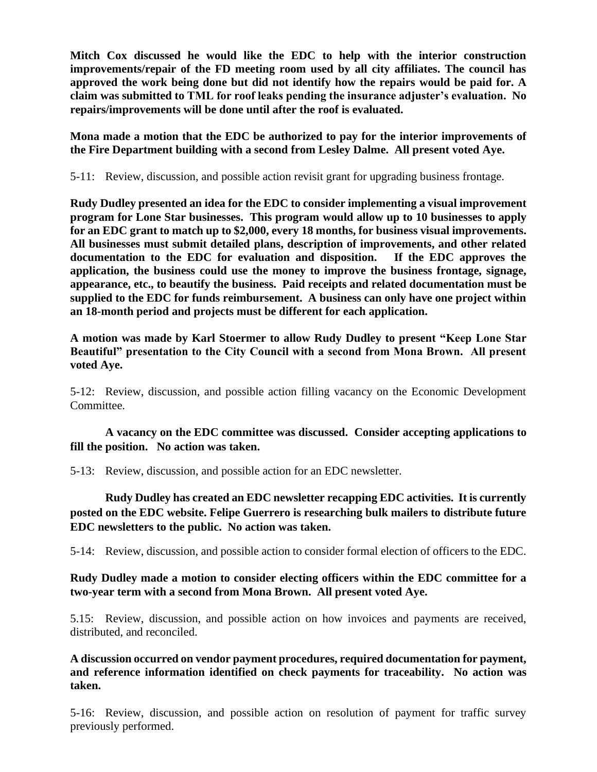**Mitch Cox discussed he would like the EDC to help with the interior construction improvements/repair of the FD meeting room used by all city affiliates. The council has approved the work being done but did not identify how the repairs would be paid for. A claim was submitted to TML for roof leaks pending the insurance adjuster's evaluation. No repairs/improvements will be done until after the roof is evaluated.** 

**Mona made a motion that the EDC be authorized to pay for the interior improvements of the Fire Department building with a second from Lesley Dalme. All present voted Aye.**

5-11: Review, discussion, and possible action revisit grant for upgrading business frontage.

**Rudy Dudley presented an idea for the EDC to consider implementing a visual improvement program for Lone Star businesses. This program would allow up to 10 businesses to apply for an EDC grant to match up to \$2,000, every 18 months, for business visual improvements. All businesses must submit detailed plans, description of improvements, and other related documentation to the EDC for evaluation and disposition. If the EDC approves the application, the business could use the money to improve the business frontage, signage, appearance, etc., to beautify the business. Paid receipts and related documentation must be supplied to the EDC for funds reimbursement. A business can only have one project within an 18-month period and projects must be different for each application.** 

**A motion was made by Karl Stoermer to allow Rudy Dudley to present "Keep Lone Star Beautiful" presentation to the City Council with a second from Mona Brown. All present voted Aye.**

5-12: Review, discussion, and possible action filling vacancy on the Economic Development Committee.

## **A vacancy on the EDC committee was discussed. Consider accepting applications to fill the position. No action was taken.**

5-13: Review, discussion, and possible action for an EDC newsletter.

**Rudy Dudley has created an EDC newsletter recapping EDC activities. It is currently posted on the EDC website. Felipe Guerrero is researching bulk mailers to distribute future EDC newsletters to the public. No action was taken.**

5-14: Review, discussion, and possible action to consider formal election of officers to the EDC.

# **Rudy Dudley made a motion to consider electing officers within the EDC committee for a two-year term with a second from Mona Brown. All present voted Aye.**

5.15: Review, discussion, and possible action on how invoices and payments are received, distributed, and reconciled.

**A discussion occurred on vendor payment procedures, required documentation for payment, and reference information identified on check payments for traceability. No action was taken.**

5-16: Review, discussion, and possible action on resolution of payment for traffic survey previously performed.